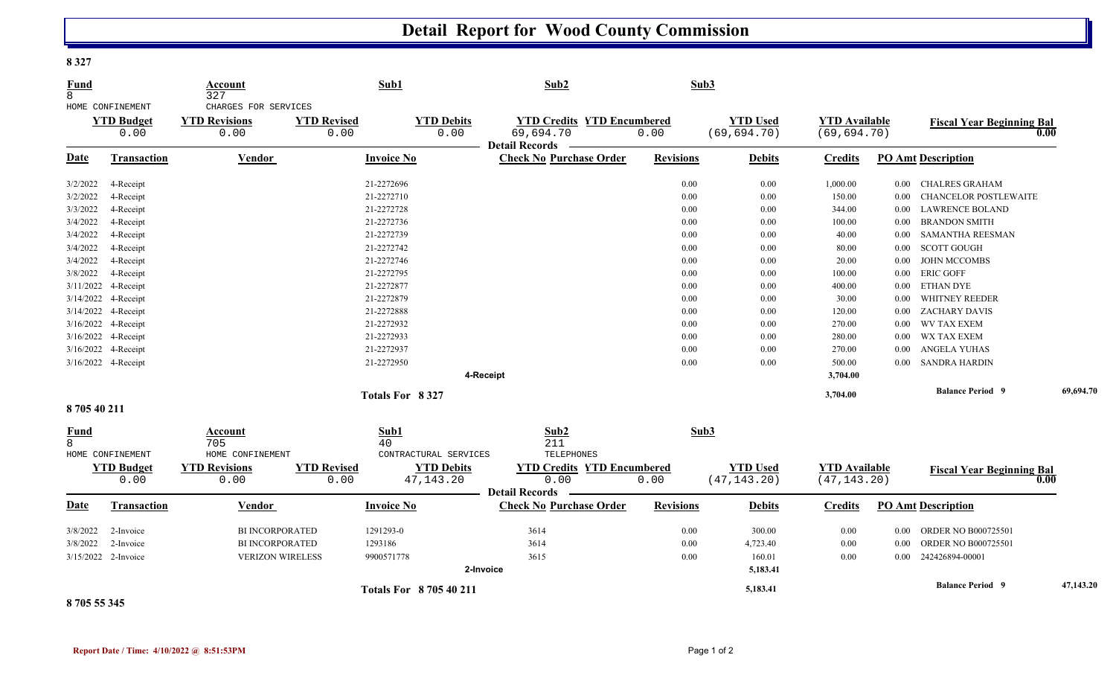## **Detail Report for Wood County Commission**

**8 327** 

| Fund<br>8        |                                               | Account<br>327                                       | Sub1                       |                                  | Sub2                                                                    |                  | Sub3                            |                                      |                |                                  |           |
|------------------|-----------------------------------------------|------------------------------------------------------|----------------------------|----------------------------------|-------------------------------------------------------------------------|------------------|---------------------------------|--------------------------------------|----------------|----------------------------------|-----------|
|                  | HOME CONFINEMENT<br><b>YTD Budget</b><br>0.00 | CHARGES FOR SERVICES<br><b>YTD Revisions</b><br>0.00 | <b>YTD Revised</b><br>0.00 | <b>YTD Debits</b><br>0.00        | <b>YTD Credits YTD Encumbered</b><br>69,694.70<br><b>Detail Records</b> | 0.00             | <b>YTD Used</b><br>(69, 694.70) | <b>YTD Available</b><br>(69, 694.70) |                | <b>Fiscal Year Beginning Bal</b> | 0.00      |
| <b>Date</b>      | Transaction                                   | <b>Vendor</b>                                        | <b>Invoice No</b>          |                                  | <b>Check No Purchase Order</b>                                          | <b>Revisions</b> | <b>Debits</b>                   | <b>Credits</b>                       |                | <b>PO Amt Description</b>        |           |
| 3/2/2022         | 4-Receipt                                     |                                                      | 21-2272696                 |                                  |                                                                         | $0.00\,$         | $0.00\,$                        | 1,000.00                             | $0.00\,$       | CHALRES GRAHAM                   |           |
| 3/2/2022         | 4-Receipt                                     |                                                      | 21-2272710                 |                                  |                                                                         | 0.00             | 0.00                            | 150.00                               | $0.00\,$       | <b>CHANCELOR POSTLEWAITE</b>     |           |
| 3/3/2022         | 4-Receipt                                     |                                                      | 21-2272728                 |                                  |                                                                         | 0.00             | $0.00\,$                        | 344.00                               | $0.00\,$       | <b>LAWRENCE BOLAND</b>           |           |
| 3/4/2022         | 4-Receipt                                     |                                                      | 21-2272736                 |                                  |                                                                         | 0.00             | $0.00\,$                        | 100.00                               | $0.00\,$       | <b>BRANDON SMITH</b>             |           |
| 3/4/2022         | 4-Receipt                                     |                                                      | 21-2272739                 |                                  |                                                                         | 0.00             | 0.00                            | 40.00                                | $0.00\,$       | <b>SAMANTHA REESMAN</b>          |           |
| 3/4/2022         | 4-Receipt                                     |                                                      | 21-2272742                 |                                  |                                                                         | 0.00             | $0.00\,$                        | 80.00                                | 0.00           | <b>SCOTT GOUGH</b>               |           |
| 3/4/2022         | 4-Receipt                                     |                                                      | 21-2272746                 |                                  |                                                                         | 0.00             | $0.00\,$                        | 20.00                                | $0.00\,$       | <b>JOHN MCCOMBS</b>              |           |
| 3/8/2022         | 4-Receipt                                     |                                                      | 21-2272795                 |                                  |                                                                         | 0.00             | 0.00                            | 100.00                               | 0.00           | <b>ERIC GOFF</b>                 |           |
|                  | 3/11/2022 4-Receipt                           |                                                      | 21-2272877                 |                                  |                                                                         | $0.00\,$         | $0.00\,$                        | 400.00                               | $0.00\,$       | ETHAN DYE                        |           |
|                  | 3/14/2022 4-Receipt                           |                                                      | 21-2272879                 |                                  |                                                                         | 0.00             | $0.00\,$                        | 30.00                                | $0.00\,$       | WHITNEY REEDER                   |           |
|                  | 3/14/2022 4-Receipt                           |                                                      | 21-2272888                 |                                  |                                                                         | 0.00             | $0.00\,$                        | 120.00                               | $0.00\,$       | ZACHARY DAVIS                    |           |
|                  | 3/16/2022 4-Receipt                           |                                                      | 21-2272932                 |                                  |                                                                         | 0.00             | $0.00\,$                        | 270.00                               | $0.00\,$       | <b>WV TAX EXEM</b>               |           |
|                  | 3/16/2022 4-Receipt                           |                                                      | 21-2272933                 |                                  |                                                                         | 0.00             | $0.00\,$                        | 280.00                               | $0.00\,$       | WX TAX EXEM                      |           |
|                  | 3/16/2022 4-Receipt                           |                                                      | 21-2272937                 |                                  |                                                                         | 0.00             | 0.00                            | 270.00                               | 0.00           | ANGELA YUHAS                     |           |
|                  | 3/16/2022 4-Receipt                           |                                                      | 21-2272950                 |                                  |                                                                         | 0.00             | $0.00\,$                        | 500.00                               |                | 0.00 SANDRA HARDIN               |           |
|                  |                                               |                                                      |                            |                                  | 4-Receipt                                                               |                  |                                 | 3,704.00                             |                |                                  |           |
|                  |                                               |                                                      | Totals For 8327            |                                  |                                                                         |                  |                                 | 3,704.00                             |                | <b>Balance Period 9</b>          | 69,694.70 |
| 870540211        |                                               |                                                      |                            |                                  |                                                                         |                  |                                 |                                      |                |                                  |           |
| <b>Fund</b><br>8 | HOME CONFINEMENT                              | Account<br>705<br>HOME CONFINEMENT                   | Sub1<br>40                 | CONTRACTURAL SERVICES            | Sub2<br>211<br>TELEPHONES                                               |                  | Sub3                            |                                      |                |                                  |           |
|                  | <b>YTD Budget</b><br>0.00                     | <b>YTD Revisions</b><br>0.00                         | <b>YTD Revised</b><br>0.00 | <b>YTD Debits</b><br>47, 143. 20 | <b>YTD Credits YTD Encumbered</b><br>0.00                               | 0.00             | <b>YTD Used</b><br>(47, 143.20) | <b>YTD Available</b><br>(47, 143.20) |                | <b>Fiscal Year Beginning Bal</b> | 0.00      |
| Date             | <b>Transaction</b>                            | <b>Vendor</b>                                        | <b>Invoice No</b>          |                                  | <b>Detail Records</b><br><b>Check No Purchase Order</b>                 | <b>Revisions</b> | <b>Debits</b>                   | <b>Credits</b>                       |                | <b>PO Amt Description</b>        |           |
|                  |                                               |                                                      |                            |                                  |                                                                         |                  |                                 |                                      |                |                                  |           |
| 3/8/2022         | 2-Invoice                                     | <b>BI INCORPORATED</b>                               | 1291293-0                  |                                  | 3614                                                                    | 0.00             | 300.00                          | 0.00                                 |                | 0.00 ORDER NO B000725501         |           |
| 3/8/2022         | 2-Invoice                                     | <b>BI INCORPORATED</b>                               | 1293186                    |                                  | 3614                                                                    | 0.00             | 4,723.40                        | 0.00                                 | $0.00\,$       | <b>ORDER NO B000725501</b>       |           |
|                  | 3/15/2022 2-Invoice                           | <b>VERIZON WIRELESS</b>                              | 9900571778                 |                                  | 3615                                                                    | 0.00             | 160.01                          | 0.00                                 | $0.00^{\circ}$ | 242426894-00001                  |           |
|                  |                                               |                                                      |                            | 2-Invoice                        |                                                                         |                  | 5,183.41                        |                                      |                |                                  |           |
|                  |                                               |                                                      |                            | <b>Totals For 870540211</b>      |                                                                         |                  | 5,183.41                        |                                      |                | <b>Balance Period 9</b>          | 47,143.20 |

## **8 705 55 345**